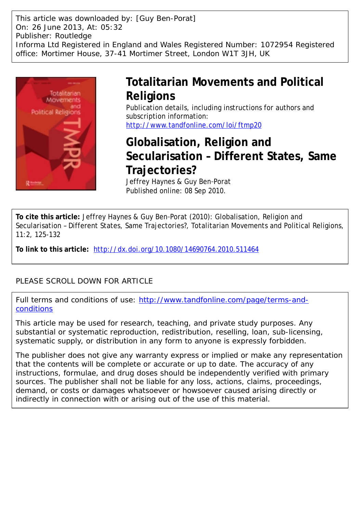This article was downloaded by: [Guy Ben-Porat] On: 26 June 2013, At: 05:32 Publisher: Routledge Informa Ltd Registered in England and Wales Registered Number: 1072954 Registered office: Mortimer House, 37-41 Mortimer Street, London W1T 3JH, UK



## **Totalitarian Movements and Political Religions**

Publication details, including instructions for authors and subscription information: <http://www.tandfonline.com/loi/ftmp20>

# **Globalisation, Religion and Secularisation – Different States, Same Trajectories?**

Jeffrey Haynes & Guy Ben‐Porat Published online: 08 Sep 2010.

**To cite this article:** Jeffrey Haynes & Guy Ben‐Porat (2010): Globalisation, Religion and Secularisation – Different States, Same Trajectories?, Totalitarian Movements and Political Religions, 11:2, 125-132

**To link to this article:** <http://dx.doi.org/10.1080/14690764.2010.511464>

### PLEASE SCROLL DOWN FOR ARTICLE

Full terms and conditions of use: [http://www.tandfonline.com/page/terms-and](http://www.tandfonline.com/page/terms-and-conditions)[conditions](http://www.tandfonline.com/page/terms-and-conditions)

This article may be used for research, teaching, and private study purposes. Any substantial or systematic reproduction, redistribution, reselling, loan, sub-licensing, systematic supply, or distribution in any form to anyone is expressly forbidden.

The publisher does not give any warranty express or implied or make any representation that the contents will be complete or accurate or up to date. The accuracy of any instructions, formulae, and drug doses should be independently verified with primary sources. The publisher shall not be liable for any loss, actions, claims, proceedings, demand, or costs or damages whatsoever or howsoever caused arising directly or indirectly in connection with or arising out of the use of this material.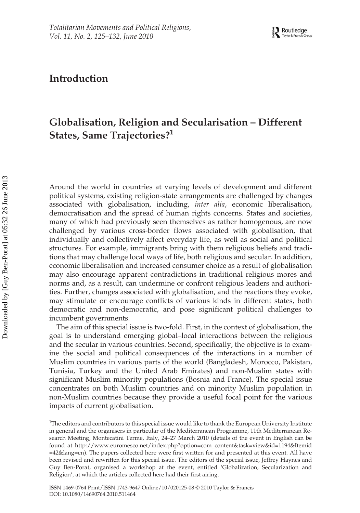### **Introduction**

## **Globalisation, Religion and Secularisation – Different States, Same Trajectories?1**

Around the world in countries at varying levels of development and different political systems, existing religion-state arrangements are challenged by changes associated with globalisation, including, *inter alia*, economic liberalisation, democratisation and the spread of human rights concerns. States and societies, many of which had previously seen themselves as rather homogenous, are now challenged by various cross-border flows associated with globalisation, that individually and collectively affect everyday life, as well as social and political structures. For example, immigrants bring with them religious beliefs and traditions that may challenge local ways of life, both religious and secular. In addition, economic liberalisation and increased consumer choice as a result of globalisation may also encourage apparent contradictions in traditional religious mores and norms and, as a result, can undermine or confront religious leaders and authorities. Further, changes associated with globalisation, and the reactions they evoke, may stimulate or encourage conflicts of various kinds in different states, both democratic and non-democratic, and pose significant political challenges to incumbent governments.

The aim of this special issue is two-fold. First, in the context of globalisation, the goal is to understand emerging global–local interactions between the religious and the secular in various countries. Second, specifically, the objective is to examine the social and political consequences of the interactions in a number of Muslim countries in various parts of the world (Bangladesh, Morocco, Pakistan, Tunisia, Turkey and the United Arab Emirates) and non-Muslim states with significant Muslim minority populations (Bosnia and France). The special issue concentrates on both Muslim countries and on minority Muslim population in non-Muslim countries because they provide a useful focal point for the various impacts of current globalisation.

<sup>&</sup>lt;sup>1</sup>The editors and contributors to this special issue would like to thank the European University Institute in general and the organisers in particular of the Mediterranean Programme, 11th Mediterranean Research Meeting, Montecatini Terme, Italy, 24–27 March 2010 (details of the event in English can be found at http://www.euromesco.net/index.php?option=com\_content&task=view&id=1194&Itemid =42&lang=en). The papers collected here were first written for and presented at this event. All have been revised and rewritten for this special issue. The editors of the special issue, Jeffrey Haynes and Guy Ben-Porat, organised a workshop at the event, entitled 'Globalization, Secularization and Religion', at which the articles collected here had their first airing.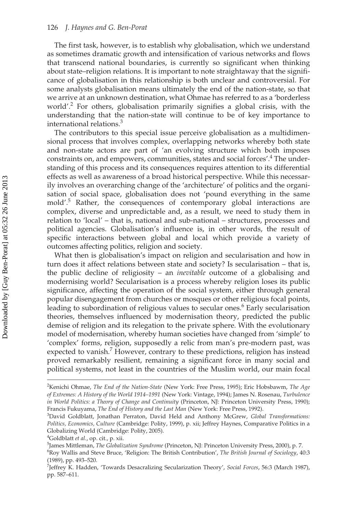The first task, however, is to establish why globalisation, which we understand as sometimes dramatic growth and intensification of various networks and flows that transcend national boundaries, is currently so significant when thinking about state–religion relations. It is important to note straightaway that the significance of globalisation in this relationship is both unclear and controversial. For some analysts globalisation means ultimately the end of the nation-state, so that we arrive at an unknown destination, what Ohmae has referred to as a 'borderless world'.<sup>2</sup> For others, globalisation primarily signifies a global crisis, with the understanding that the nation-state will continue to be of key importance to international relations.<sup>3</sup>

The contributors to this special issue perceive globalisation as a multidimensional process that involves complex, overlapping networks whereby both state and non-state actors are part of 'an evolving structure which both imposes constraints on, and empowers, communities, states and social forces'.4 The understanding of this process and its consequences requires attention to its differential effects as well as awareness of a broad historical perspective. While this necessarily involves an overarching change of the 'architecture' of politics and the organisation of social space, globalisation does not 'pound everything in the same mold'.<sup>5</sup> Rather, the consequences of contemporary global interactions are complex, diverse and unpredictable and, as a result, we need to study them in relation to 'local' – that is, national and sub-national – structures, processes and political agencies. Globalisation's influence is, in other words, the result of specific interactions between global and local which provide a variety of outcomes affecting politics, religion and society.

What then is globalisation's impact on religion and secularisation and how in turn does it affect relations between state and society? Is secularisation – that is, the public decline of religiosity – an *inevitable* outcome of a globalising and modernising world? Secularisation is a process whereby religion loses its public significance, affecting the operation of the social system, either through general popular disengagement from churches or mosques or other religious focal points, leading to subordination of religious values to secular ones.<sup>6</sup> Early secularisation theories, themselves influenced by modernisation theory, predicted the public demise of religion and its relegation to the private sphere. With the evolutionary model of modernisation, whereby human societies have changed from 'simple' to 'complex' forms, religion, supposedly a relic from man's pre-modern past, was expected to vanish.<sup>7</sup> However, contrary to these predictions, religion has instead proved remarkably resilient, remaining a significant force in many social and political systems, not least in the countries of the Muslim world, our main focal

<sup>2</sup> Kenichi Ohmae, *The End of the Nation-State* (New York: Free Press, 1995); Eric Hobsbawm, *The Age of Extremes: A History of the World 1914–1991* (New York: Vintage, 1994); James N. Rosenau, *Turbulence in World Politics: a Theory of Change and Continuity* (Princeton, NJ: Princeton University Press, 1990); Francis Fukuyama, *The End of History and the Last Man* (New York: Free Press, 1992).

<sup>3</sup> David Goldblatt, Jonathan Perraton, David Held and Anthony McGrew, *Global Transformations: Politics, Economics, Culture* (Cambridge: Polity, 1999), p. xii; Jeffrey Haynes, Comparative Politics in a Globalizing World (Cambridge: Polity, 2005).

<sup>4</sup> Goldblatt *et al.*, op. cit., p. xii.

<sup>5</sup> James Mittleman, *The Globalization Syndrome* (Princeton, NJ: Princeton University Press, 2000), p. 7.

<sup>6</sup> Roy Wallis and Steve Bruce, 'Religion: The British Contribution', *The British Journal of Sociology*, 40:3 (1989), pp. 493–520.

<sup>7</sup> Jeffrey K. Hadden, 'Towards Desacralizing Secularization Theory', *Social Forces*, 56:3 (March 1987), pp. 587–611.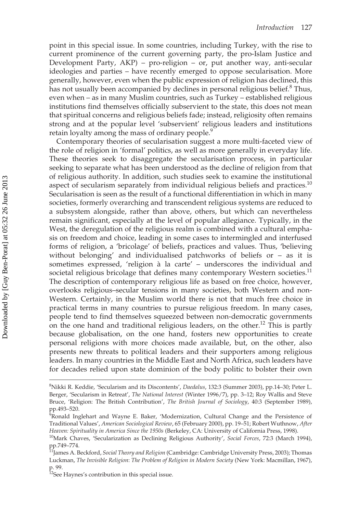point in this special issue. In some countries, including Turkey, with the rise to current prominence of the current governing party, the pro-Islam Justice and Development Party, AKP) – pro-religion – or, put another way, anti-secular ideologies and parties – have recently emerged to oppose secularisation. More generally, however, even when the public expression of religion has declined, this has not usually been accompanied by declines in personal religious belief.<sup>8</sup> Thus, even when – as in many Muslim countries, such as Turkey – established religious institutions find themselves officially subservient to the state, this does not mean that spiritual concerns and religious beliefs fade; instead, religiosity often remains strong and at the popular level 'subservient' religious leaders and institutions retain loyalty among the mass of ordinary people.<sup>9</sup>

Contemporary theories of secularisation suggest a more multi-faceted view of the role of religion in 'formal' politics, as well as more generally in everyday life. These theories seek to disaggregate the secularisation process, in particular seeking to separate what has been understood as the decline of religion from that of religious authority. In addition, such studies seek to examine the institutional aspect of secularism separately from individual religious beliefs and practices.<sup>10</sup> Secularisation is seen as the result of a functional differentiation in which in many societies, formerly overarching and transcendent religious systems are reduced to a subsystem alongside, rather than above, others, but which can nevertheless remain significant, especially at the level of popular allegiance. Typically, in the West, the deregulation of the religious realm is combined with a cultural emphasis on freedom and choice, leading in some cases to intermingled and interfused forms of religion, a 'bricolage' of beliefs, practices and values. Thus, 'believing without belonging' and individualised patchworks of beliefs or – as it is sometimes expressed, 'religion à la carte' – underscores the individual and societal religious bricolage that defines many contemporary Western societies.<sup>11</sup> The description of contemporary religious life as based on free choice, however, overlooks religious–secular tensions in many societies, both Western and non-Western. Certainly, in the Muslim world there is not that much free choice in practical terms in many countries to pursue religious freedom. In many cases, people tend to find themselves squeezed between non-democratic governments on the one hand and traditional religious leaders, on the other.<sup>12</sup> This is partly because globalisation, on the one hand, fosters new opportunities to create personal religions with more choices made available, but, on the other, also presents new threats to political leaders and their supporters among religious leaders. In many countries in the Middle East and North Africa, such leaders have for decades relied upon state dominion of the body politic to bolster their own

<sup>8</sup> Nikki R. Keddie, 'Secularism and its Discontents', *Daedalus*, 132:3 (Summer 2003), pp.14–30; Peter L. Berger, 'Secularism in Retreat', *The National Interest* (Winter 1996/7), pp. 3–12; Roy Wallis and Steve Bruce, 'Religion: The British Contribution', *The British Journal of Sociology*, 40:3 (September 1989), pp.493–520.

<sup>&</sup>lt;sup>9</sup>Ronald Inglehart and Wayne E. Baker, 'Modernization, Cultural Change and the Persistence of Traditional Values', *American Sociological Review*, 65 (February 2000), pp. 19–51; Robert Wuthnow, *After Heaven: Spirituality in America Since the 1950s* (Berkeley, CA: University of California Press, 1998).

<sup>10</sup>Mark Chaves, 'Secularization as Declining Religious Authority', *Social Forces*, 72:3 (March 1994), pp.749–774.

<sup>11</sup>James A. Beckford, *Social Theory and Religion* (Cambridge: Cambridge University Press, 2003); Thomas Luckman, *The Invisible Religion*: *The Problem of Religion in Modern Society* (New York: Macmillan, 1967), p. 99.

<sup>12</sup>See Haynes's contribution in this special issue.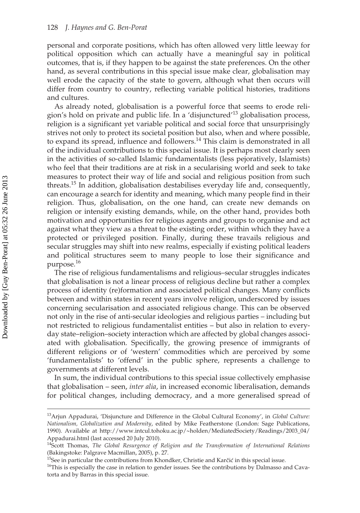personal and corporate positions, which has often allowed very little leeway for political opposition which can actually have a meaningful say in political outcomes, that is, if they happen to be against the state preferences. On the other hand, as several contributions in this special issue make clear, globalisation may well erode the capacity of the state to govern, although what then occurs will differ from country to country, reflecting variable political histories, traditions and cultures.

As already noted, globalisation is a powerful force that seems to erode religion's hold on private and public life. In a 'disjunctured'13 globalisation process, religion is a significant yet variable political and social force that unsurprisingly strives not only to protect its societal position but also, when and where possible, to expand its spread, influence and followers.<sup>14</sup> This claim is demonstrated in all of the individual contributions to this special issue. It is perhaps most clearly seen in the activities of so-called Islamic fundamentalists (less pejoratively, Islamists) who feel that their traditions are at risk in a secularising world and seek to take measures to protect their way of life and social and religious position from such threats.15 In addition, globalisation destabilises everyday life and, consequently, can encourage a search for identity and meaning, which many people find in their religion. Thus, globalisation, on the one hand, can create new demands on religion or intensify existing demands, while, on the other hand, provides both motivation and opportunities for religious agents and groups to organise and act against what they view as a threat to the existing order, within which they have a protected or privileged position. Finally, during these travails religious and secular struggles may shift into new realms, especially if existing political leaders and political structures seem to many people to lose their significance and purpose.16

The rise of religious fundamentalisms and religious–secular struggles indicates that globalisation is not a linear process of religious decline but rather a complex process of identity (re)formation and associated political changes. Many conflicts between and within states in recent years involve religion, underscored by issues concerning secularisation and associated religious change. This can be observed not only in the rise of anti-secular ideologies and religious parties – including but not restricted to religious fundamentalist entities – but also in relation to everyday state–religion–society interaction which are affected by global changes associated with globalisation. Specifically, the growing presence of immigrants of different religions or of 'western' commodities which are perceived by some 'fundamentalists' to 'offend' in the public sphere, represents a challenge to governments at different levels.

In sum, the individual contributions to this special issue collectively emphasise that globalisation – seen, *inter alia*, in increased economic liberalisation, demands for political changes, including democracy, and a more generalised spread of

<sup>13</sup>Arjun Appadurai, 'Disjuncture and Difference in the Global Cultural Economy', in *Global Culture: Nationalism, Globalization and Modernity*, edited by Mike Featherstone (London: Sage Publications, 1990). Available at http://www.intcul.tohoku.ac.jp/∼holden/MediatedSociety/Readings/2003\_04/ Appadurai.html (last accessed 20 July 2010).

<sup>14</sup>Scott Thomas, *The Global Resurgence of Religion and the Transformation of International Relations* (Bakingstoke: Palgrave Macmillan, 2005), p. 27.

 $15$ See in particular the contributions from Khondker, Christie and Karčić in this special issue.

<sup>&</sup>lt;sup>16</sup>This is especially the case in relation to gender issues. See the contributions by Dalmasso and Cavatorta and by Barras in this special issue.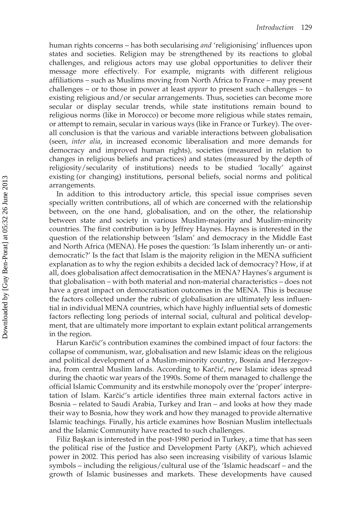human rights concerns – has both secularising *and* 'religionising' influences upon states and societies. Religion may be strengthened by its reactions to global challenges, and religious actors may use global opportunities to deliver their message more effectively. For example, migrants with different religious affiliations – such as Muslims moving from North Africa to France – may present challenges – or to those in power at least *appear* to present such challenges – to existing religious and/or secular arrangements. Thus, societies can become more secular or display secular trends, while state institutions remain bound to religious norms (like in Morocco) or become more religious while states remain, or attempt to remain, secular in various ways (like in France or Turkey). The overall conclusion is that the various and variable interactions between globalisation (seen, *inter alia*, in increased economic liberalisation and more demands for democracy and improved human rights), societies (measured in relation to changes in religious beliefs and practices) and states (measured by the depth of religiosity/secularity of institutions) needs to be studied 'locally' against existing (or changing) institutions, personal beliefs, social norms and political arrangements.

In addition to this introductory article, this special issue comprises seven specially written contributions, all of which are concerned with the relationship between, on the one hand, globalisation, and on the other, the relationship between state and society in various Muslim-majority and Muslim-minority countries. The first contribution is by Jeffrey Haynes. Haynes is interested in the question of the relationship between 'Islam' and democracy in the Middle East and North Africa (MENA). He poses the question: 'Is Islam inherently un- or antidemocratic?' Is the fact that Islam is the majority religion in the MENA sufficient explanation as to why the region exhibits a decided lack of democracy? How, if at all, does globalisation affect democratisation in the MENA? Haynes's argument is that globalisation – with both material and non-material characteristics – does not have a great impact on democratisation outcomes in the MENA. This is because the factors collected under the rubric of globalisation are ultimately less influential in individual MENA countries, which have highly influential sets of domestic factors reflecting long periods of internal social, cultural and political development, that are ultimately more important to explain extant political arrangements in the region.

Harun Karčić's contribution examines the combined impact of four factors: the collapse of communism, war, globalisation and new Islamic ideas on the religious and political development of a Muslim-minority country, Bosnia and Herzegovina, from central Muslim lands. According to Karčić, new Islamic ideas spread during the chaotic war years of the 1990s. Some of them managed to challenge the official Islamic Community and its erstwhile monopoly over the 'proper' interpretation of Islam. Karčić′s article identifies three main external factors active in Bosnia – related to Saudi Arabia, Turkey and Iran – and looks at how they made their way to Bosnia, how they work and how they managed to provide alternative Islamic teachings. Finally, his article examines how Bosnian Muslim intellectuals and the Islamic Community have reacted to such challenges.

Filiz Başkan is interested in the post-1980 period in Turkey, a time that has seen the political rise of the Justice and Development Party (AKP), which achieved power in 2002. This period has also seen increasing visibility of various Islamic symbols – including the religious/cultural use of the 'Islamic headscarf – and the growth of Islamic businesses and markets. These developments have caused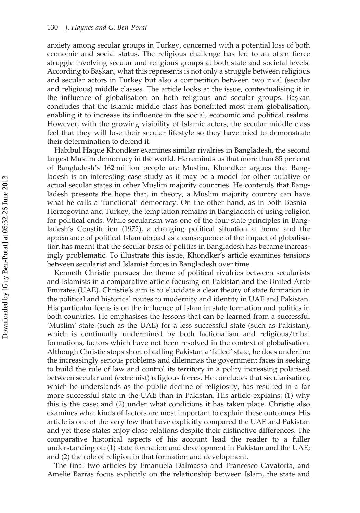anxiety among secular groups in Turkey, concerned with a potential loss of both economic and social status. The religious challenge has led to an often fierce struggle involving secular and religious groups at both state and societal levels. According to Başkan, what this represents is not only a struggle between religious and secular actors in Turkey but also a competition between two rival (secular and religious) middle classes. The article looks at the issue, contextualising it in the influence of globalisation on both religious and secular groups. Başkan concludes that the Islamic middle class has benefitted most from globalisation, enabling it to increase its influence in the social, economic and political realms. However, with the growing visibility of Islamic actors, the secular middle class feel that they will lose their secular lifestyle so they have tried to demonstrate their determination to defend it.

Habibul Haque Khondker examines similar rivalries in Bangladesh, the second largest Muslim democracy in the world. He reminds us that more than 85 per cent of Bangladesh's 162 million people are Muslim. Khondker argues that Bangladesh is an interesting case study as it may be a model for other putative or actual secular states in other Muslim majority countries. He contends that Bangladesh presents the hope that, in theory, a Muslim majority country can have what he calls a 'functional' democracy. On the other hand, as in both Bosnia– Herzegovina and Turkey, the temptation remains in Bangladesh of using religion for political ends. While secularism was one of the four state principles in Bangladesh's Constitution (1972), a changing political situation at home and the appearance of political Islam abroad as a consequence of the impact of globalisation has meant that the secular basis of politics in Bangladesh has became increasingly problematic. To illustrate this issue, Khondker's article examines tensions between secularist and Islamist forces in Bangladesh over time.

Kenneth Christie pursues the theme of political rivalries between secularists and Islamists in a comparative article focusing on Pakistan and the United Arab Emirates (UAE). Christie's aim is to elucidate a clear theory of state formation in the political and historical routes to modernity and identity in UAE and Pakistan. His particular focus is on the influence of Islam in state formation and politics in both countries. He emphasises the lessons that can be learned from a successful 'Muslim' state (such as the UAE) for a less successful state (such as Pakistan), which is continually undermined by both factionalism and religious/tribal formations, factors which have not been resolved in the context of globalisation. Although Christie stops short of calling Pakistan a 'failed' state, he does underline the increasingly serious problems and dilemmas the government faces in seeking to build the rule of law and control its territory in a polity increasing polarised between secular and (extremist) religious forces. He concludes that secularisation, which he understands as the public decline of religiosity, has resulted in a far more successful state in the UAE than in Pakistan. His article explains: (1) why this is the case; and (2) under what conditions it has taken place. Christie also examines what kinds of factors are most important to explain these outcomes. His article is one of the very few that have explicitly compared the UAE and Pakistan and yet these states enjoy close relations despite their distinctive differences. The comparative historical aspects of his account lead the reader to a fuller understanding of: (1) state formation and development in Pakistan and the UAE; and (2) the role of religion in that formation and development.

The final two articles by Emanuela Dalmasso and Francesco Cavatorta, and Amélie Barras focus explicitly on the relationship between Islam, the state and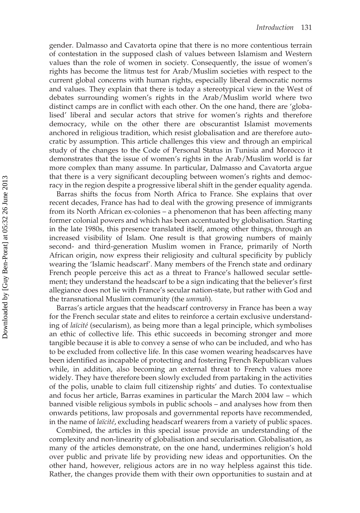gender. Dalmasso and Cavatorta opine that there is no more contentious terrain of contestation in the supposed clash of values between Islamism and Western values than the role of women in society. Consequently, the issue of women's rights has become the litmus test for Arab/Muslim societies with respect to the current global concerns with human rights, especially liberal democratic norms and values. They explain that there is today a stereotypical view in the West of debates surrounding women's rights in the Arab/Muslim world where two distinct camps are in conflict with each other. On the one hand, there are 'globalised' liberal and secular actors that strive for women's rights and therefore democracy, while on the other there are obscurantist Islamist movements anchored in religious tradition, which resist globalisation and are therefore autocratic by assumption. This article challenges this view and through an empirical study of the changes to the Code of Personal Status in Tunisia and Morocco it demonstrates that the issue of women's rights in the Arab/Muslim world is far more complex than many assume. In particular, Dalmasso and Cavatorta argue that there is a very significant decoupling between women's rights and democracy in the region despite a progressive liberal shift in the gender equality agenda.

Barras shifts the focus from North Africa to France. She explains that over recent decades, France has had to deal with the growing presence of immigrants from its North African ex-colonies – a phenomenon that has been affecting many former colonial powers and which has been accentuated by globalisation. Starting in the late 1980s, this presence translated itself, among other things, through an increased visibility of Islam. One result is that growing numbers of mainly second- and third-generation Muslim women in France, primarily of North African origin, now express their religiosity and cultural specificity by publicly wearing the 'Islamic headscarf'. Many members of the French state and ordinary French people perceive this act as a threat to France's hallowed secular settlement; they understand the headscarf to be a sign indicating that the believer's first allegiance does not lie with France's secular nation-state, but rather with God and the transnational Muslim community (the *ummah*).

Barras's article argues that the headscarf controversy in France has been a way for the French secular state and elites to reinforce a certain exclusive understanding of *laïcité* (secularism), as being more than a legal principle, which symbolises an ethic of collective life. This ethic succeeds in becoming stronger and more tangible because it is able to convey a sense of who can be included, and who has to be excluded from collective life. In this case women wearing headscarves have been identified as incapable of protecting and fostering French Republican values while, in addition, also becoming an external threat to French values more widely. They have therefore been slowly excluded from partaking in the activities of the polis, unable to claim full citizenship rights' and duties. To contextualise and focus her article, Barras examines in particular the March 2004 law – which banned visible religious symbols in public schools – and analyses how from then onwards petitions, law proposals and governmental reports have recommended, in the name of *laïcité*, excluding headscarf wearers from a variety of public spaces.

Combined, the articles in this special issue provide an understanding of the complexity and non-linearity of globalisation and secularisation. Globalisation, as many of the articles demonstrate, on the one hand, undermines religion's hold over public and private life by providing new ideas and opportunities. On the other hand, however, religious actors are in no way helpless against this tide. Rather, the changes provide them with their own opportunities to sustain and at